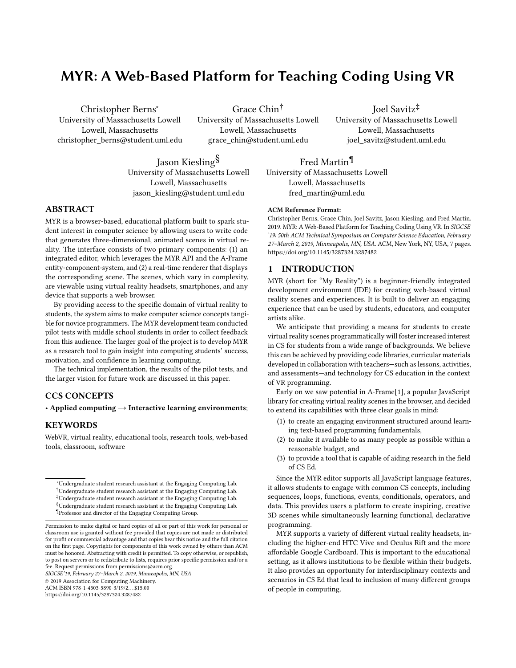# MYR: A Web-Based Platform for Teaching Coding Using VR

Christopher Berns<sup>∗</sup> University of Massachusetts Lowell Lowell, Massachusetts christopher\_berns@student.uml.edu

Grace Chin† University of Massachusetts Lowell Lowell, Massachusetts grace\_chin@student.uml.edu

Joel Savitz‡ University of Massachusetts Lowell Lowell, Massachusetts joel\_savitz@student.uml.edu

Jason Kiesling§ University of Massachusetts Lowell Lowell, Massachusetts jason\_kiesling@student.uml.edu

Fred Martin¶ University of Massachusetts Lowell Lowell, Massachusetts fred\_martin@uml.edu

# ABSTRACT

MYR is a browser-based, educational platform built to spark student interest in computer science by allowing users to write code that generates three-dimensional, animated scenes in virtual reality. The interface consists of two primary components: (1) an integrated editor, which leverages the MYR API and the A-Frame entity-component-system, and (2) a real-time renderer that displays the corresponding scene. The scenes, which vary in complexity, are viewable using virtual reality headsets, smartphones, and any device that supports a web browser.

By providing access to the specific domain of virtual reality to students, the system aims to make computer science concepts tangible for novice programmers. The MYR development team conducted pilot tests with middle school students in order to collect feedback from this audience. The larger goal of the project is to develop MYR as a research tool to gain insight into computing students' success, motivation, and confidence in learning computing.

The technical implementation, the results of the pilot tests, and the larger vision for future work are discussed in this paper.

# CCS CONCEPTS

• Applied computing → Interactive learning environments;

# **KEYWORDS**

WebVR, virtual reality, educational tools, research tools, web-based tools, classroom, software

SIGCSE'19, February 27–March 2, 2019, Minneapolis, MN, USA

© 2019 Association for Computing Machinery.

ACM ISBN 978-1-4503-5890-3/19/2. . . \$15.00

<https://doi.org/10.1145/3287324.3287482>

#### ACM Reference Format:

Christopher Berns, Grace Chin, Joel Savitz, Jason Kiesling, and Fred Martin. 2019. MYR: A Web-Based Platform for Teaching Coding Using VR. In SIGCSE '19: 50th ACM Technical Symposium on Computer Science Education, February 27–March 2, 2019, Minneapolis, MN, USA. ACM, New York, NY, USA, [7](#page-6-0) pages. <https://doi.org/10.1145/3287324.3287482>

# 1 INTRODUCTION

MYR (short for "My Reality") is a beginner-friendly integrated development environment (IDE) for creating web-based virtual reality scenes and experiences. It is built to deliver an engaging experience that can be used by students, educators, and computer artists alike.

We anticipate that providing a means for students to create virtual reality scenes programmatically will foster increased interest in CS for students from a wide range of backgrounds. We believe this can be achieved by providing code libraries, curricular materials developed in collaboration with teachers—such as lessons, activities, and assessments—and technology for CS education in the context of VR programming.

Early on we saw potential in A-Frame[\[1\]](#page-6-1), a popular JavaScript library for creating virtual reality scenes in the browser, and decided to extend its capabilities with three clear goals in mind:

- (1) to create an engaging environment structured around learning text-based programming fundamentals,
- (2) to make it available to as many people as possible within a reasonable budget, and
- (3) to provide a tool that is capable of aiding research in the field of CS Ed.

Since the MYR editor supports all JavaScript language features, it allows students to engage with common CS concepts, including sequences, loops, functions, events, conditionals, operators, and data. This provides users a platform to create inspiring, creative 3D scenes while simultaneously learning functional, declarative programming.

MYR supports a variety of different virtual reality headsets, including the higher-end HTC Vive and Oculus Rift and the more affordable Google Cardboard. This is important to the educational setting, as it allows institutions to be flexible within their budgets. It also provides an opportunity for interdisciplinary contexts and scenarios in CS Ed that lead to inclusion of many different groups of people in computing.

<sup>∗</sup>Undergraduate student research assistant at the Engaging Computing Lab. †Undergraduate student research assistant at the Engaging Computing Lab. ‡Undergraduate student research assistant at the Engaging Computing Lab. §Undergraduate student research assistant at the Engaging Computing Lab. ¶Professor and director of the Engaging Computing Group.

Permission to make digital or hard copies of all or part of this work for personal or classroom use is granted without fee provided that copies are not made or distributed for profit or commercial advantage and that copies bear this notice and the full citation on the first page. Copyrights for components of this work owned by others than ACM must be honored. Abstracting with credit is permitted. To copy otherwise, or republish, to post on servers or to redistribute to lists, requires prior specific permission and/or a fee. Request permissions from permissions@acm.org.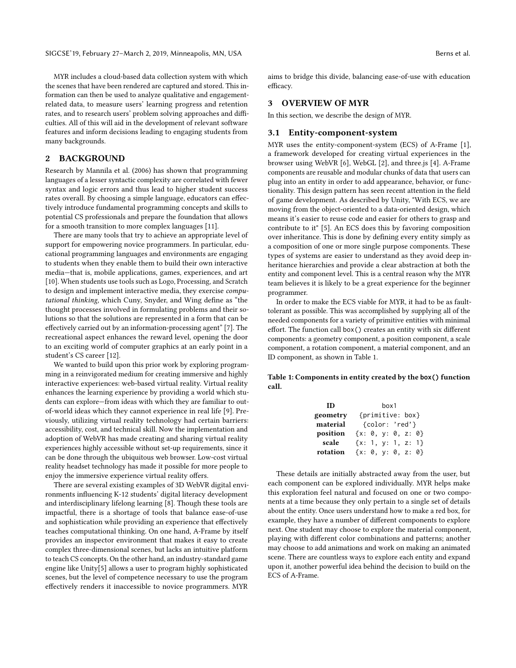MYR includes a cloud-based data collection system with which the scenes that have been rendered are captured and stored. This information can then be used to analyze qualitative and engagementrelated data, to measure users' learning progress and retention rates, and to research users' problem solving approaches and difficulties. All of this will aid in the development of relevant software features and inform decisions leading to engaging students from many backgrounds.

# 2 BACKGROUND

Research by [Mannila et al.](#page-6-2) [\(2006\)](#page-6-2) has shown that programming languages of a lesser syntactic complexity are correlated with fewer syntax and logic errors and thus lead to higher student success rates overall. By choosing a simple language, educators can effectively introduce fundamental programming concepts and skills to potential CS professionals and prepare the foundation that allows for a smooth transition to more complex languages [\[11\]](#page-6-2).

There are many tools that try to achieve an appropriate level of support for empowering novice programmers. In particular, educational programming languages and environments are engaging to students when they enable them to build their own interactive media—that is, mobile applications, games, experiences, and art [\[10\]](#page-6-3). When students use tools such as Logo, Processing, and Scratch to design and implement interactive media, they exercise computational thinking, which Cuny, Snyder, and Wing define as "the thought processes involved in formulating problems and their solutions so that the solutions are represented in a form that can be effectively carried out by an information-processing agent" [\[7\]](#page-6-4). The recreational aspect enhances the reward level, opening the door to an exciting world of computer graphics at an early point in a student's CS career [\[12\]](#page-6-5).

We wanted to build upon this prior work by exploring programming in a reinvigorated medium for creating immersive and highly interactive experiences: web-based virtual reality. Virtual reality enhances the learning experience by providing a world which students can explore—from ideas with which they are familiar to outof-world ideas which they cannot experience in real life [\[9\]](#page-6-6). Previously, utilizing virtual reality technology had certain barriers: accessibility, cost, and technical skill. Now the implementation and adoption of WebVR has made creating and sharing virtual reality experiences highly accessible without set-up requirements, since it can be done through the ubiquitous web browser. Low-cost virtual reality headset technology has made it possible for more people to enjoy the immersive experience virtual reality offers.

There are several existing examples of 3D WebVR digital environments influencing K-12 students' digital literacy development and interdisciplinary lifelong learning [\[8\]](#page-6-7). Though these tools are impactful, there is a shortage of tools that balance ease-of-use and sophistication while providing an experience that effectively teaches computational thinking. On one hand, A-Frame by itself provides an inspector environment that makes it easy to create complex three-dimensional scenes, but lacks an intuitive platform to teach CS concepts. On the other hand, an industry-standard game engine like Unity[\[5\]](#page-6-8) allows a user to program highly sophisticated scenes, but the level of competence necessary to use the program effectively renders it inaccessible to novice programmers. MYR

aims to bridge this divide, balancing ease-of-use with education efficacy.

# 3 OVERVIEW OF MYR

In this section, we describe the design of MYR.

#### 3.1 Entity-component-system

MYR uses the entity-component-system (ECS) of A-Frame [\[1\]](#page-6-1), a framework developed for creating virtual experiences in the browser using WebVR [\[6\]](#page-6-9), WebGL [\[2\]](#page-6-10), and three.js [\[4\]](#page-6-11). A-Frame components are reusable and modular chunks of data that users can plug into an entity in order to add appearance, behavior, or functionality. This design pattern has seen recent attention in the field of game development. As described by Unity, "With ECS, we are moving from the object-oriented to a data-oriented design, which means it's easier to reuse code and easier for others to grasp and contribute to it" [\[5\]](#page-6-8). An ECS does this by favoring composition over inheritance. This is done by defining every entity simply as a composition of one or more single purpose components. These types of systems are easier to understand as they avoid deep inheritance hierarchies and provide a clear abstraction at both the entity and component level. This is a central reason why the MYR team believes it is likely to be a great experience for the beginner programmer.

In order to make the ECS viable for MYR, it had to be as faulttolerant as possible. This was accomplished by supplying all of the needed components for a variety of primitive entities with minimal effort. The function call box() creates an entity with six different components: a geometry component, a position component, a scale component, a rotation component, a material component, and an ID component, as shown in Table [1.](#page-1-0)

<span id="page-1-0"></span>Table 1: Components in entity created by the **box()** function call.

| m        | box1                   |  |  |  |  |  |
|----------|------------------------|--|--|--|--|--|
| geometry | {primitive: box}       |  |  |  |  |  |
| material | {color: 'red'}         |  |  |  |  |  |
| position | ${x: 0, y: 0, z: 0}$   |  |  |  |  |  |
| scale    | $\{x: 1, y: 1, z: 1\}$ |  |  |  |  |  |
| rotation | ${x: 0, y: 0, z: 0}$   |  |  |  |  |  |

These details are initially abstracted away from the user, but each component can be explored individually. MYR helps make this exploration feel natural and focused on one or two components at a time because they only pertain to a single set of details about the entity. Once users understand how to make a red box, for example, they have a number of different components to explore next. One student may choose to explore the material component, playing with different color combinations and patterns; another may choose to add animations and work on making an animated scene. There are countless ways to explore each entity and expand upon it, another powerful idea behind the decision to build on the ECS of A-Frame.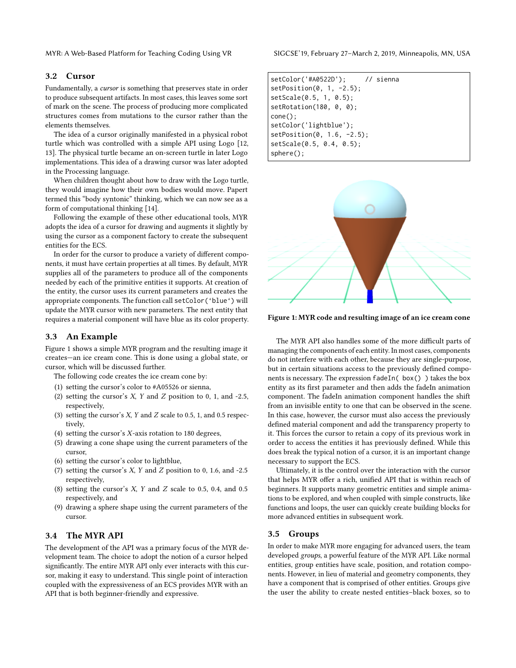MYR: A Web-Based Platform for Teaching Coding Using VR SIGCSE'19, February 27–March 2, 2019, Minneapolis, MN, USA

#### 3.2 Cursor

Fundamentally, a cursor is something that preserves state in order to produce subsequent artifacts. In most cases, this leaves some sort of mark on the scene. The process of producing more complicated structures comes from mutations to the cursor rather than the elements themselves.

The idea of a cursor originally manifested in a physical robot turtle which was controlled with a simple API using Logo [\[12,](#page-6-5) [13\]](#page-6-12). The physical turtle became an on-screen turtle in later Logo implementations. This idea of a drawing cursor was later adopted in the Processing language.

When children thought about how to draw with the Logo turtle, they would imagine how their own bodies would move. Papert termed this "body syntonic" thinking, which we can now see as a form of computational thinking [\[14\]](#page-6-13).

Following the example of these other educational tools, MYR adopts the idea of a cursor for drawing and augments it slightly by using the cursor as a component factory to create the subsequent entities for the ECS.

In order for the cursor to produce a variety of different components, it must have certain properties at all times. By default, MYR supplies all of the parameters to produce all of the components needed by each of the primitive entities it supports. At creation of the entity, the cursor uses its current parameters and creates the appropriate components. The function call setColor('blue') will update the MYR cursor with new parameters. The next entity that requires a material component will have blue as its color property.

#### 3.3 An Example

Figure [1](#page-2-0) shows a simple MYR program and the resulting image it creates—an ice cream cone. This is done using a global state, or cursor, which will be discussed further.

The following code creates the ice cream cone by:

- (1) setting the cursor's color to #A05526 or sienna,
- (2) setting the cursor's  $X$ ,  $Y$  and  $Z$  position to 0, 1, and -2.5, respectively,
- (3) setting the cursor's  $X$ ,  $Y$  and  $Z$  scale to 0.5, 1, and 0.5 respectively,
- (4) setting the cursor's  $X$ -axis rotation to 180 degrees,
- (5) drawing a cone shape using the current parameters of the cursor,
- (6) setting the cursor's color to lightblue,
- (7) setting the cursor's  $X$ ,  $Y$  and  $Z$  position to 0, 1.6, and -2.5 respectively,
- (8) setting the cursor's  $X$ ,  $Y$  and  $Z$  scale to 0.5, 0.4, and 0.5 respectively, and
- (9) drawing a sphere shape using the current parameters of the cursor.

# 3.4 The MYR API

The development of the API was a primary focus of the MYR development team. The choice to adopt the notion of a cursor helped significantly. The entire MYR API only ever interacts with this cursor, making it easy to understand. This single point of interaction coupled with the expressiveness of an ECS provides MYR with an API that is both beginner-friendly and expressive.

<span id="page-2-0"></span>

| setColor('#A0522D'); // sienna |  |  |
|--------------------------------|--|--|
| setPosition $(0, 1, -2.5)$ ;   |  |  |
| setScale(0.5, 1, 0.5);         |  |  |
| setRotation(180, 0, 0);        |  |  |
| $cone()$ :                     |  |  |
| setColor('lightblue');         |  |  |
| $setPosition(0, 1.6, -2.5)$ ;  |  |  |
| setScale(0.5, 0.4, 0.5);       |  |  |
| $sphere()$ ;                   |  |  |



Figure 1: MYR code and resulting image of an ice cream cone

The MYR API also handles some of the more difficult parts of managing the components of each entity. In most cases, components do not interfere with each other, because they are single-purpose, but in certain situations access to the previously defined components is necessary. The expression fadeIn( box() ) takes the box entity as its first parameter and then adds the fadeIn animation component. The fadeIn animation component handles the shift from an invisible entity to one that can be observed in the scene. In this case, however, the cursor must also access the previously defined material component and add the transparency property to it. This forces the cursor to retain a copy of its previous work in order to access the entities it has previously defined. While this does break the typical notion of a cursor, it is an important change necessary to support the ECS.

Ultimately, it is the control over the interaction with the cursor that helps MYR offer a rich, unified API that is within reach of beginners. It supports many geometric entities and simple animations to be explored, and when coupled with simple constructs, like functions and loops, the user can quickly create building blocks for more advanced entities in subsequent work.

### 3.5 Groups

In order to make MYR more engaging for advanced users, the team developed groups, a powerful feature of the MYR API. Like normal entities, group entities have scale, position, and rotation components. However, in lieu of material and geometry components, they have a component that is comprised of other entities. Groups give the user the ability to create nested entities–black boxes, so to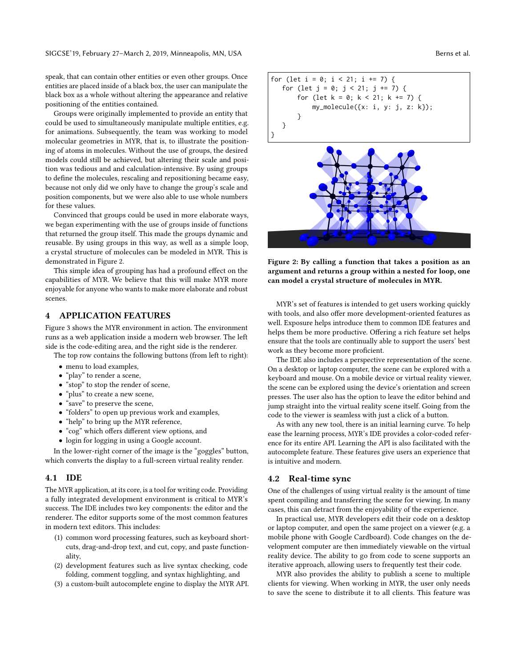SIGCSE'19, February 27-March 2, 2019, Minneapolis, MN, USA Berns et al.

speak, that can contain other entities or even other groups. Once entities are placed inside of a black box, the user can manipulate the black box as a whole without altering the appearance and relative positioning of the entities contained.

Groups were originally implemented to provide an entity that could be used to simultaneously manipulate multiple entities, e.g. for animations. Subsequently, the team was working to model molecular geometries in MYR, that is, to illustrate the positioning of atoms in molecules. Without the use of groups, the desired models could still be achieved, but altering their scale and position was tedious and and calculation-intensive. By using groups to define the molecules, rescaling and repositioning became easy, because not only did we only have to change the group's scale and position components, but we were also able to use whole numbers for these values.

Convinced that groups could be used in more elaborate ways, we began experimenting with the use of groups inside of functions that returned the group itself. This made the groups dynamic and reusable. By using groups in this way, as well as a simple loop, a crystal structure of molecules can be modeled in MYR. This is demonstrated in Figure 2.

This simple idea of grouping has had a profound effect on the capabilities of MYR. We believe that this will make MYR more enjoyable for anyone who wants to make more elaborate and robust scenes.

# 4 APPLICATION FEATURES

Figure [3](#page-4-0) shows the MYR environment in action. The environment runs as a web application inside a modern web browser. The left side is the code-editing area, and the right side is the renderer.

The top row contains the following buttons (from left to right):

- menu to load examples,
- "play" to render a scene,
- "stop" to stop the render of scene,
- "plus" to create a new scene,
- "save" to preserve the scene,
- "folders" to open up previous work and examples,
- "help" to bring up the MYR reference,
- "cog" which offers different view options, and
- login for logging in using a Google account.

In the lower-right corner of the image is the "goggles" button, which converts the display to a full-screen virtual reality render.

# 4.1 IDE

The MYR application, at its core, is a tool for writing code. Providing a fully integrated development environment is critical to MYR's success. The IDE includes two key components: the editor and the renderer. The editor supports some of the most common features in modern text editors. This includes:

- (1) common word processing features, such as keyboard shortcuts, drag-and-drop text, and cut, copy, and paste functionality,
- (2) development features such as live syntax checking, code folding, comment toggling, and syntax highlighting, and
- (3) a custom-built autocomplete engine to display the MYR API.



Figure 2: By calling a function that takes a position as an argument and returns a group within a nested for loop, one can model a crystal structure of molecules in MYR.

MYR's set of features is intended to get users working quickly with tools, and also offer more development-oriented features as well. Exposure helps introduce them to common IDE features and helps them be more productive. Offering a rich feature set helps ensure that the tools are continually able to support the users' best work as they become more proficient.

The IDE also includes a perspective representation of the scene. On a desktop or laptop computer, the scene can be explored with a keyboard and mouse. On a mobile device or virtual reality viewer, the scene can be explored using the device's orientation and screen presses. The user also has the option to leave the editor behind and jump straight into the virtual reality scene itself. Going from the code to the viewer is seamless with just a click of a button.

As with any new tool, there is an initial learning curve. To help ease the learning process, MYR's IDE provides a color-coded reference for its entire API. Learning the API is also facilitated with the autocomplete feature. These features give users an experience that is intuitive and modern.

#### 4.2 Real-time sync

One of the challenges of using virtual reality is the amount of time spent compiling and transferring the scene for viewing. In many cases, this can detract from the enjoyability of the experience.

In practical use, MYR developers edit their code on a desktop or laptop computer, and open the same project on a viewer (e.g. a mobile phone with Google Cardboard). Code changes on the development computer are then immediately viewable on the virtual reality device. The ability to go from code to scene supports an iterative approach, allowing users to frequently test their code.

MYR also provides the ability to publish a scene to multiple clients for viewing. When working in MYR, the user only needs to save the scene to distribute it to all clients. This feature was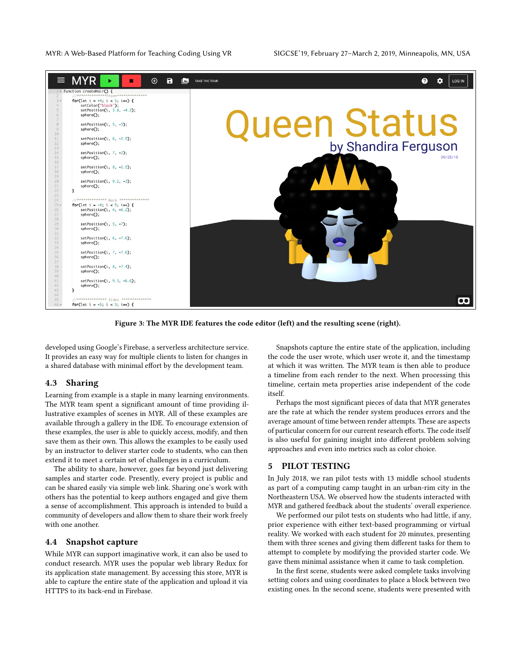<span id="page-4-0"></span>

Figure 3: The MYR IDE features the code editor (left) and the resulting scene (right).

developed using Google's Firebase, a serverless architecture service. It provides an easy way for multiple clients to listen for changes in a shared database with minimal effort by the development team.

#### 4.3 Sharing

Learning from example is a staple in many learning environments. The MYR team spent a significant amount of time providing illustrative examples of scenes in MYR. All of these examples are available through a gallery in the IDE. To encourage extension of these examples, the user is able to quickly access, modify, and then save them as their own. This allows the examples to be easily used by an instructor to deliver starter code to students, who can then extend it to meet a certain set of challenges in a curriculum.

The ability to share, however, goes far beyond just delivering samples and starter code. Presently, every project is public and can be shared easily via simple web link. Sharing one's work with others has the potential to keep authors engaged and give them a sense of accomplishment. This approach is intended to build a community of developers and allow them to share their work freely with one another.

# 4.4 Snapshot capture

While MYR can support imaginative work, it can also be used to conduct research. MYR uses the popular web library Redux for its application state management. By accessing this store, MYR is able to capture the entire state of the application and upload it via HTTPS to its back-end in Firebase.

Snapshots capture the entire state of the application, including the code the user wrote, which user wrote it, and the timestamp at which it was written. The MYR team is then able to produce a timeline from each render to the next. When processing this timeline, certain meta properties arise independent of the code itself.

Perhaps the most significant pieces of data that MYR generates are the rate at which the render system produces errors and the average amount of time between render attempts. These are aspects of particular concern for our current research efforts. The code itself is also useful for gaining insight into different problem solving approaches and even into metrics such as color choice.

# 5 PILOT TESTING

In July 2018, we ran pilot tests with 13 middle school students as part of a computing camp taught in an urban-rim city in the Northeastern USA. We observed how the students interacted with MYR and gathered feedback about the students' overall experience.

We performed our pilot tests on students who had little, if any, prior experience with either text-based programming or virtual reality. We worked with each student for 20 minutes, presenting them with three scenes and giving them different tasks for them to attempt to complete by modifying the provided starter code. We gave them minimal assistance when it came to task completion.

In the first scene, students were asked complete tasks involving setting colors and using coordinates to place a block between two existing ones. In the second scene, students were presented with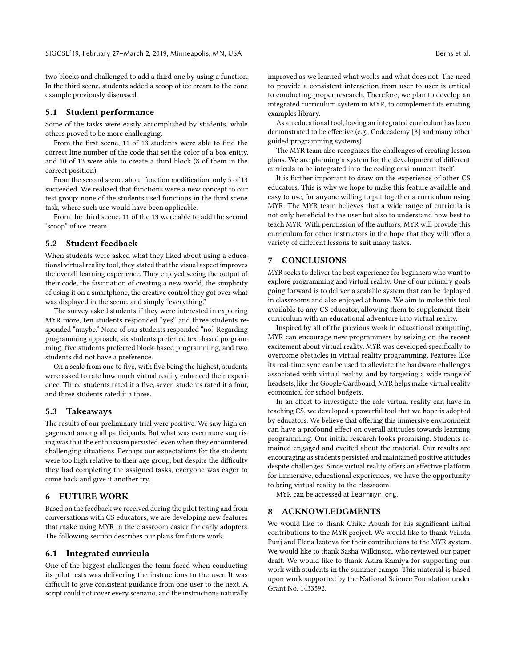two blocks and challenged to add a third one by using a function. In the third scene, students added a scoop of ice cream to the cone example previously discussed.

#### 5.1 Student performance

Some of the tasks were easily accomplished by students, while others proved to be more challenging.

From the first scene, 11 of 13 students were able to find the correct line number of the code that set the color of a box entity, and 10 of 13 were able to create a third block (8 of them in the correct position).

From the second scene, about function modification, only 5 of 13 succeeded. We realized that functions were a new concept to our test group; none of the students used functions in the third scene task, where such use would have been applicable.

From the third scene, 11 of the 13 were able to add the second "scoop" of ice cream.

# 5.2 Student feedback

When students were asked what they liked about using a educational virtual reality tool, they stated that the visual aspect improves the overall learning experience. They enjoyed seeing the output of their code, the fascination of creating a new world, the simplicity of using it on a smartphone, the creative control they got over what was displayed in the scene, and simply "everything."

The survey asked students if they were interested in exploring MYR more, ten students responded "yes" and three students responded "maybe." None of our students responded "no." Regarding programming approach, six students preferred text-based programming, five students preferred block-based programming, and two students did not have a preference.

On a scale from one to five, with five being the highest, students were asked to rate how much virtual reality enhanced their experience. Three students rated it a five, seven students rated it a four, and three students rated it a three.

#### 5.3 Takeaways

The results of our preliminary trial were positive. We saw high engagement among all participants. But what was even more surprising was that the enthusiasm persisted, even when they encountered challenging situations. Perhaps our expectations for the students were too high relative to their age group, but despite the difficulty they had completing the assigned tasks, everyone was eager to come back and give it another try.

# 6 FUTURE WORK

Based on the feedback we received during the pilot testing and from conversations with CS educators, we are developing new features that make using MYR in the classroom easier for early adopters. The following section describes our plans for future work.

#### 6.1 Integrated curricula

One of the biggest challenges the team faced when conducting its pilot tests was delivering the instructions to the user. It was difficult to give consistent guidance from one user to the next. A script could not cover every scenario, and the instructions naturally improved as we learned what works and what does not. The need to provide a consistent interaction from user to user is critical to conducting proper research. Therefore, we plan to develop an integrated curriculum system in MYR, to complement its existing examples library.

As an educational tool, having an integrated curriculum has been demonstrated to be effective (e.g., Codecademy [\[3\]](#page-6-14) and many other guided programming systems).

The MYR team also recognizes the challenges of creating lesson plans. We are planning a system for the development of different curricula to be integrated into the coding environment itself.

It is further important to draw on the experience of other CS educators. This is why we hope to make this feature available and easy to use, for anyone willing to put together a curriculum using MYR. The MYR team believes that a wide range of curricula is not only beneficial to the user but also to understand how best to teach MYR. With permission of the authors, MYR will provide this curriculum for other instructors in the hope that they will offer a variety of different lessons to suit many tastes.

# 7 CONCLUSIONS

MYR seeks to deliver the best experience for beginners who want to explore programming and virtual reality. One of our primary goals going forward is to deliver a scalable system that can be deployed in classrooms and also enjoyed at home. We aim to make this tool available to any CS educator, allowing them to supplement their curriculum with an educational adventure into virtual reality.

Inspired by all of the previous work in educational computing, MYR can encourage new programmers by seizing on the recent excitement about virtual reality. MYR was developed specifically to overcome obstacles in virtual reality programming. Features like its real-time sync can be used to alleviate the hardware challenges associated with virtual reality, and by targeting a wide range of headsets, like the Google Cardboard, MYR helps make virtual reality economical for school budgets.

In an effort to investigate the role virtual reality can have in teaching CS, we developed a powerful tool that we hope is adopted by educators. We believe that offering this immersive environment can have a profound effect on overall attitudes towards learning programming. Our initial research looks promising. Students remained engaged and excited about the material. Our results are encouraging as students persisted and maintained positive attitudes despite challenges. Since virtual reality offers an effective platform for immersive, educational experiences, we have the opportunity to bring virtual reality to the classroom.

MYR can be accessed at learnmyr.org.

### 8 ACKNOWLEDGMENTS

We would like to thank Chike Abuah for his significant initial contributions to the MYR project. We would like to thank Vrinda Punj and Elena Izotova for their contributions to the MYR system. We would like to thank Sasha Wilkinson, who reviewed our paper draft. We would like to thank Akira Kamiya for supporting our work with students in the summer camps. This material is based upon work supported by the National Science Foundation under Grant No. 1433592.